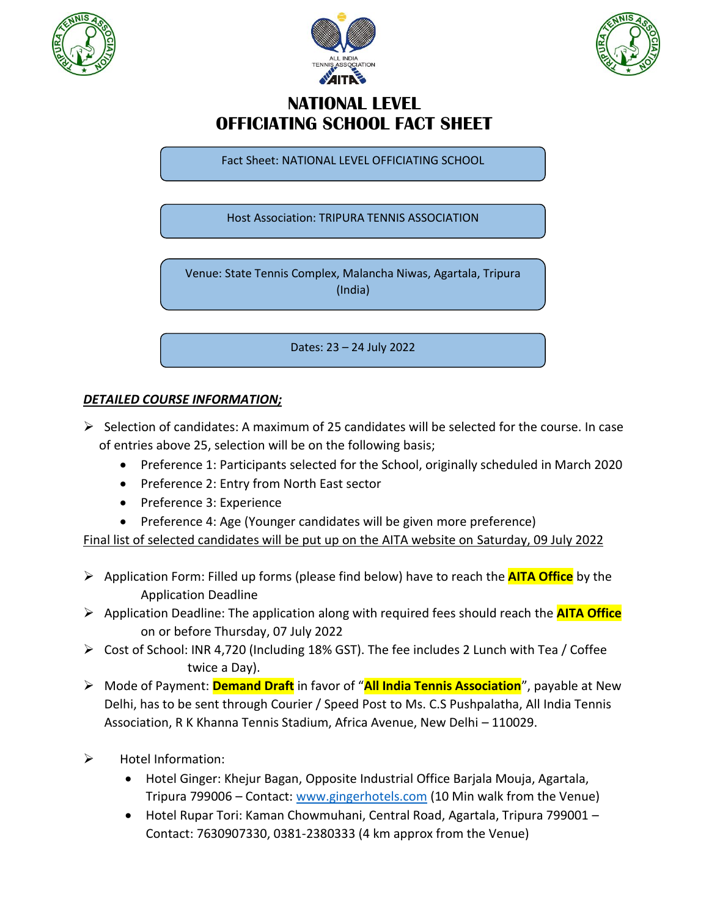





## **NATIONAL LEVEL OFFICIATING SCHOOL FACT SHEET**

Fact Sheet: NATIONAL LEVEL OFFICIATING SCHOOL

Host Association: TRIPURA TENNIS ASSOCIATION

Venue: State Tennis Complex, Malancha Niwas, Agartala, Tripura (India)

Dates: 23 – 24 July 2022

## *DETAILED COURSE INFORMATION;*

- $\triangleright$  Selection of candidates: A maximum of 25 candidates will be selected for the course. In case of entries above 25, selection will be on the following basis;
	- Preference 1: Participants selected for the School, originally scheduled in March 2020
	- Preference 2: Entry from North East sector
	- Preference 3: Experience
	- Preference 4: Age (Younger candidates will be given more preference)

Final list of selected candidates will be put up on the AITA website on Saturday, 09 July 2022

- Application Form: Filled up forms (please find below) have to reach the **AITA Office** by the Application Deadline
- Application Deadline: The application along with required fees should reach the **AITA Office** on or before Thursday, 07 July 2022
- $\triangleright$  Cost of School: INR 4,720 (Including 18% GST). The fee includes 2 Lunch with Tea / Coffee twice a Day).
- Mode of Payment: **Demand Draft** in favor of "**All India Tennis Association**", payable at New Delhi, has to be sent through Courier / Speed Post to Ms. C.S Pushpalatha, All India Tennis Association, R K Khanna Tennis Stadium, Africa Avenue, New Delhi – 110029.
- $\triangleright$  Hotel Information:
	- Hotel Ginger: Khejur Bagan, Opposite Industrial Office Barjala Mouja, Agartala, Tripura 799006 – Contact: [www.gingerhotels.com](http://www.gingerhotels.com/) (10 Min walk from the Venue)
	- Hotel Rupar Tori: Kaman Chowmuhani, Central Road, Agartala, Tripura 799001 Contact: 7630907330, 0381-2380333 (4 km approx from the Venue)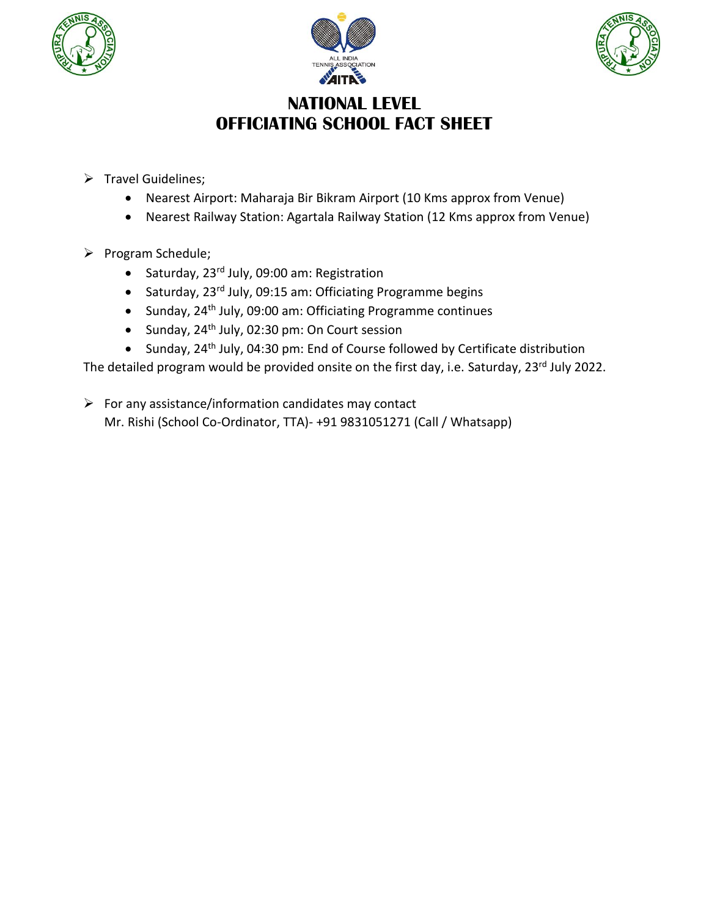





## **NATIONAL LEVEL OFFICIATING SCHOOL FACT SHEET**

- $\triangleright$  Travel Guidelines;
	- Nearest Airport: Maharaja Bir Bikram Airport (10 Kms approx from Venue)
	- Nearest Railway Station: Agartala Railway Station (12 Kms approx from Venue)
- $\triangleright$  Program Schedule;
	- Saturday, 23<sup>rd</sup> July, 09:00 am: Registration
	- Saturday, 23<sup>rd</sup> July, 09:15 am: Officiating Programme begins
	- Sunday, 24<sup>th</sup> July, 09:00 am: Officiating Programme continues
	- Sunday, 24<sup>th</sup> July, 02:30 pm: On Court session
	- Sunday, 24<sup>th</sup> July, 04:30 pm: End of Course followed by Certificate distribution

The detailed program would be provided onsite on the first day, i.e. Saturday, 23<sup>rd</sup> July 2022.

 $\triangleright$  For any assistance/information candidates may contact Mr. Rishi (School Co-Ordinator, TTA)- +91 9831051271 (Call / Whatsapp)